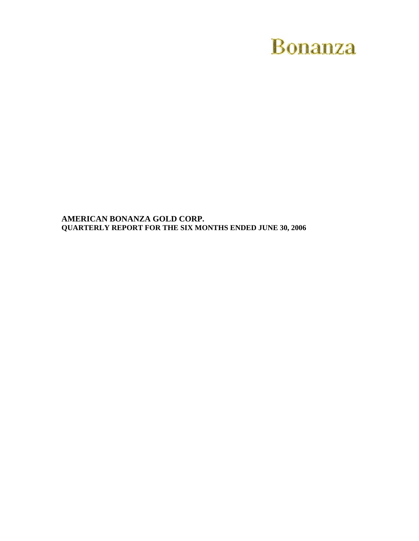# **Bonanza**

**AMERICAN BONANZA GOLD CORP. QUARTERLY REPORT FOR THE SIX MONTHS ENDED JUNE 30, 2006**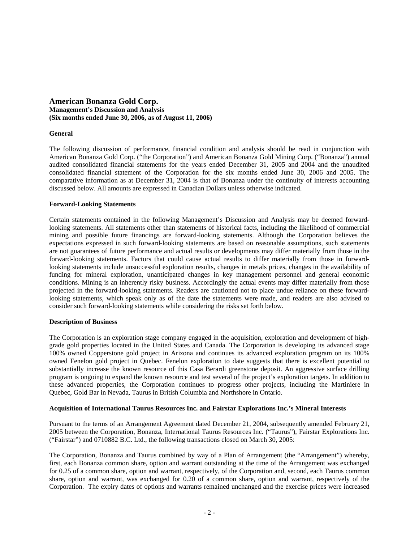# **American Bonanza Gold Corp. Management's Discussion and Analysis (Six months ended June 30, 2006, as of August 11, 2006)**

## **General**

The following discussion of performance, financial condition and analysis should be read in conjunction with American Bonanza Gold Corp. ("the Corporation") and American Bonanza Gold Mining Corp. ("Bonanza") annual audited consolidated financial statements for the years ended December 31, 2005 and 2004 and the unaudited consolidated financial statement of the Corporation for the six months ended June 30, 2006 and 2005. The comparative information as at December 31, 2004 is that of Bonanza under the continuity of interests accounting discussed below. All amounts are expressed in Canadian Dollars unless otherwise indicated.

### **Forward-Looking Statements**

Certain statements contained in the following Management's Discussion and Analysis may be deemed forwardlooking statements. All statements other than statements of historical facts, including the likelihood of commercial mining and possible future financings are forward-looking statements. Although the Corporation believes the expectations expressed in such forward-looking statements are based on reasonable assumptions, such statements are not guarantees of future performance and actual results or developments may differ materially from those in the forward-looking statements. Factors that could cause actual results to differ materially from those in forwardlooking statements include unsuccessful exploration results, changes in metals prices, changes in the availability of funding for mineral exploration, unanticipated changes in key management personnel and general economic conditions. Mining is an inherently risky business. Accordingly the actual events may differ materially from those projected in the forward-looking statements. Readers are cautioned not to place undue reliance on these forwardlooking statements, which speak only as of the date the statements were made, and readers are also advised to consider such forward-looking statements while considering the risks set forth below.

#### **Description of Business**

The Corporation is an exploration stage company engaged in the acquisition, exploration and development of highgrade gold properties located in the United States and Canada. The Corporation is developing its advanced stage 100% owned Copperstone gold project in Arizona and continues its advanced exploration program on its 100% owned Fenelon gold project in Quebec. Fenelon exploration to date suggests that there is excellent potential to substantially increase the known resource of this Casa Berardi greenstone deposit. An aggressive surface drilling program is ongoing to expand the known resource and test several of the project's exploration targets. In addition to these advanced properties, the Corporation continues to progress other projects, including the Martiniere in Quebec, Gold Bar in Nevada, Taurus in British Columbia and Northshore in Ontario.

#### **Acquisition of International Taurus Resources Inc. and Fairstar Explorations Inc.'s Mineral Interests**

Pursuant to the terms of an Arrangement Agreement dated December 21, 2004, subsequently amended February 21, 2005 between the Corporation, Bonanza, International Taurus Resources Inc. ("Taurus"), Fairstar Explorations Inc. ("Fairstar") and 0710882 B.C. Ltd., the following transactions closed on March 30, 2005:

The Corporation, Bonanza and Taurus combined by way of a Plan of Arrangement (the "Arrangement") whereby, first, each Bonanza common share, option and warrant outstanding at the time of the Arrangement was exchanged for 0.25 of a common share, option and warrant, respectively, of the Corporation and, second, each Taurus common share, option and warrant, was exchanged for 0.20 of a common share, option and warrant, respectively of the Corporation. The expiry dates of options and warrants remained unchanged and the exercise prices were increased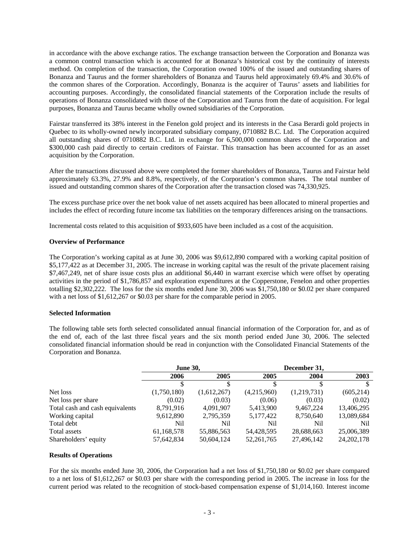in accordance with the above exchange ratios. The exchange transaction between the Corporation and Bonanza was a common control transaction which is accounted for at Bonanza's historical cost by the continuity of interests method. On completion of the transaction, the Corporation owned 100% of the issued and outstanding shares of Bonanza and Taurus and the former shareholders of Bonanza and Taurus held approximately 69.4% and 30.6% of the common shares of the Corporation. Accordingly, Bonanza is the acquirer of Taurus' assets and liabilities for accounting purposes. Accordingly, the consolidated financial statements of the Corporation include the results of operations of Bonanza consolidated with those of the Corporation and Taurus from the date of acquisition. For legal purposes, Bonanza and Taurus became wholly owned subsidiaries of the Corporation.

Fairstar transferred its 38% interest in the Fenelon gold project and its interests in the Casa Berardi gold projects in Quebec to its wholly-owned newly incorporated subsidiary company, 0710882 B.C. Ltd. The Corporation acquired all outstanding shares of 0710882 B.C. Ltd. in exchange for 6,500,000 common shares of the Corporation and \$300,000 cash paid directly to certain creditors of Fairstar. This transaction has been accounted for as an asset acquisition by the Corporation.

After the transactions discussed above were completed the former shareholders of Bonanza, Taurus and Fairstar held approximately 63.3%, 27.9% and 8.8%, respectively, of the Corporation's common shares. The total number of issued and outstanding common shares of the Corporation after the transaction closed was 74,330,925.

The excess purchase price over the net book value of net assets acquired has been allocated to mineral properties and includes the effect of recording future income tax liabilities on the temporary differences arising on the transactions.

Incremental costs related to this acquisition of \$933,605 have been included as a cost of the acquisition.

### **Overview of Performance**

The Corporation's working capital as at June 30, 2006 was \$9,612,890 compared with a working capital position of \$5,177,422 as at December 31, 2005. The increase in working capital was the result of the private placement raising \$7,467,249, net of share issue costs plus an additional \$6,440 in warrant exercise which were offset by operating activities in the period of \$1,786,857 and exploration expenditures at the Copperstone, Fenelon and other properties totalling \$2,302,222. The loss for the six months ended June 30, 2006 was \$1,750,180 or \$0.02 per share compared with a net loss of \$1,612,267 or \$0.03 per share for the comparable period in 2005.

#### **Selected Information**

The following table sets forth selected consolidated annual financial information of the Corporation for, and as of the end of, each of the last three fiscal years and the six month period ended June 30, 2006. The selected consolidated financial information should be read in conjunction with the Consolidated Financial Statements of the Corporation and Bonanza.

|                                 | <b>June 30,</b> |             | December 31, |             |              |
|---------------------------------|-----------------|-------------|--------------|-------------|--------------|
|                                 | 2006            | 2005        | 2005         | 2004        | 2003         |
|                                 |                 |             |              |             |              |
| Net loss                        | (1,750,180)     | (1,612,267) | (4,215,960)  | (1,219,731) | (605, 214)   |
| Net loss per share              | (0.02)          | (0.03)      | (0.06)       | (0.03)      | (0.02)       |
| Total cash and cash equivalents | 8,791,916       | 4,091,907   | 5,413,900    | 9,467,224   | 13,406,295   |
| Working capital                 | 9,612,890       | 2,795,359   | 5,177,422    | 8,750,640   | 13,089,684   |
| Total debt                      | Nil             | Nil         | Nil          | Nil         | Nil          |
| Total assets                    | 61,168,578      | 55,886,563  | 54,428,595   | 28,688,663  | 25,006,389   |
| Shareholders' equity            | 57,642,834      | 50,604,124  | 52, 261, 765 | 27,496,142  | 24, 202, 178 |

#### **Results of Operations**

For the six months ended June 30, 2006, the Corporation had a net loss of \$1,750,180 or \$0.02 per share compared to a net loss of \$1,612,267 or \$0.03 per share with the corresponding period in 2005. The increase in loss for the current period was related to the recognition of stock-based compensation expense of \$1,014,160. Interest income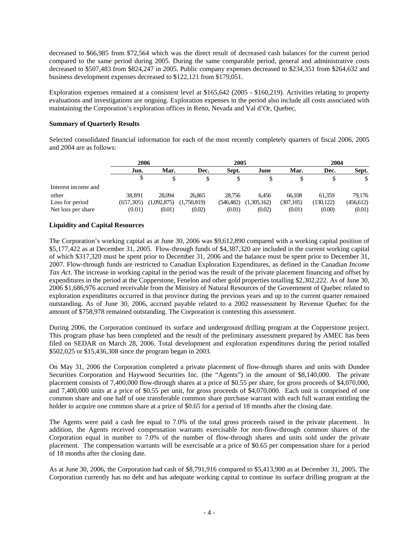decreased to \$66,985 from \$72,564 which was the direct result of decreased cash balances for the current period compared to the same period during 2005. During the same comparable period, general and administrative costs decreased to \$507,483 from \$824,247 in 2005. Public company expenses decreased to \$234,351 from \$264,632 and business development expenses decreased to \$122,121 from \$179,051.

Exploration expenses remained at a consistent level at \$165,642 (2005 - \$160,219). Activities relating to property evaluations and investigations are ongoing. Exploration expenses in the period also include all costs associated with maintaining the Corporation's exploration offices in Reno, Nevada and Val d'Or, Quebec.

# **Summary of Quarterly Results**

Selected consolidated financial information for each of the most recently completely quarters of fiscal 2006, 2005 and 2004 are as follows:

|                     | 2006         |             |             | 2005          |             |            |            | 2004       |  |
|---------------------|--------------|-------------|-------------|---------------|-------------|------------|------------|------------|--|
|                     | Mar.<br>Jun. |             | Dec.        | Sept.<br>June |             | Mar.       | Dec.       | Sept.      |  |
|                     |              |             |             |               |             |            |            | \$         |  |
| Interest income and |              |             |             |               |             |            |            |            |  |
| other               | 38.891       | 28.094      | 26.865      | 28.756        | 6.456       | 66.108     | 61.359     | 79.176     |  |
| Loss for period     | (657, 305)   | (1,092,875) | (1,750,819) | (546, 482)    | (1,305,162) | (307, 105) | (130, 122) | (456, 612) |  |
| Net loss per share  | (0.01)       | (0.01)      | (0.02)      | (0.01)        | (0.02)      | (0.01)     | (0.00)     | (0.01)     |  |

# **Liquidity and Capital Resources**

**Interest** 

The Corporation's working capital as at June 30, 2006 was \$9,612,890 compared with a working capital position of \$5,177,422 as at December 31, 2005. Flow-through funds of \$4,387,320 are included in the current working capital of which \$317,320 must be spent prior to December 31, 2006 and the balance must be spent prior to December 31, 2007. Flow-through funds are restricted to Canadian Exploration Expenditures, as defined in the Canadian *Income Tax Act*. The increase in working capital in the period was the result of the private placement financing and offset by expenditures in the period at the Copperstone, Fenelon and other gold properties totalling \$2,302,222. As of June 30, 2006 \$1,686,976 accrued receivable from the Ministry of Natural Resources of the Government of Quebec related to exploration expenditures occurred in that province during the previous years and up to the current quarter remained outstanding. As of June 30, 2006, accrued payable related to a 2002 reassessment by Revenue Quebec for the amount of \$758,978 remained outstanding. The Corporation is contesting this assessment.

During 2006, the Corporation continued its surface and underground drilling program at the Copperstone project. This program phase has been completed and the result of the preliminary assessment prepared by AMEC has been filed on SEDAR on March 28, 2006. Total development and exploration expenditures during the period totalled \$502,025 or \$15,436,308 since the program began in 2003.

On May 31, 2006 the Corporation completed a private placement of flow-through shares and units with Dundee Securities Corporation and Haywood Securities Inc. (the "Agents") in the amount of \$8,140,000. The private placement consists of 7,400,000 flow-through shares at a price of \$0.55 per share, for gross proceeds of \$4,070,000, and 7,400,000 units at a price of \$0.55 per unit, for gross proceeds of \$4,070,000. Each unit is comprised of one common share and one half of one transferable common share purchase warrant with each full warrant entitling the holder to acquire one common share at a price of \$0.65 for a period of 18 months after the closing date.

The Agents were paid a cash fee equal to 7.0% of the total gross proceeds raised in the private placement. In addition, the Agents received compensation warrants exercisable for non-flow-through common shares of the Corporation equal in number to 7.0% of the number of flow-through shares and units sold under the private placement. The compensation warrants will be exercisable at a price of \$0.65 per compensation share for a period of 18 months after the closing date.

As at June 30, 2006, the Corporation had cash of \$8,791,916 compared to \$5,413,900 as at December 31, 2005. The Corporation currently has no debt and has adequate working capital to continue its surface drilling program at the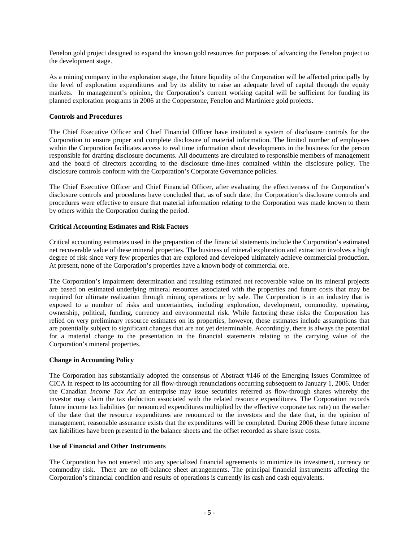Fenelon gold project designed to expand the known gold resources for purposes of advancing the Fenelon project to the development stage.

As a mining company in the exploration stage, the future liquidity of the Corporation will be affected principally by the level of exploration expenditures and by its ability to raise an adequate level of capital through the equity markets. In management's opinion, the Corporation's current working capital will be sufficient for funding its planned exploration programs in 2006 at the Copperstone, Fenelon and Martiniere gold projects.

## **Controls and Procedures**

The Chief Executive Officer and Chief Financial Officer have instituted a system of disclosure controls for the Corporation to ensure proper and complete disclosure of material information. The limited number of employees within the Corporation facilitates access to real time information about developments in the business for the person responsible for drafting disclosure documents. All documents are circulated to responsible members of management and the board of directors according to the disclosure time-lines contained within the disclosure policy. The disclosure controls conform with the Corporation's Corporate Governance policies.

The Chief Executive Officer and Chief Financial Officer, after evaluating the effectiveness of the Corporation's disclosure controls and procedures have concluded that, as of such date, the Corporation's disclosure controls and procedures were effective to ensure that material information relating to the Corporation was made known to them by others within the Corporation during the period.

### **Critical Accounting Estimates and Risk Factors**

Critical accounting estimates used in the preparation of the financial statements include the Corporation's estimated net recoverable value of these mineral properties. The business of mineral exploration and extraction involves a high degree of risk since very few properties that are explored and developed ultimately achieve commercial production. At present, none of the Corporation's properties have a known body of commercial ore.

The Corporation's impairment determination and resulting estimated net recoverable value on its mineral projects are based on estimated underlying mineral resources associated with the properties and future costs that may be required for ultimate realization through mining operations or by sale. The Corporation is in an industry that is exposed to a number of risks and uncertainties, including exploration, development, commodity, operating, ownership, political, funding, currency and environmental risk. While factoring these risks the Corporation has relied on very preliminary resource estimates on its properties, however, these estimates include assumptions that are potentially subject to significant changes that are not yet determinable. Accordingly, there is always the potential for a material change to the presentation in the financial statements relating to the carrying value of the Corporation's mineral properties.

#### **Change in Accounting Policy**

The Corporation has substantially adopted the consensus of Abstract #146 of the Emerging Issues Committee of CICA in respect to its accounting for all flow-through renunciations occurring subsequent to January 1, 2006. Under the Canadian *Income Tax Act* an enterprise may issue securities referred as flow-through shares whereby the investor may claim the tax deduction associated with the related resource expenditures. The Corporation records future income tax liabilities (or renounced expenditures multiplied by the effective corporate tax rate) on the earlier of the date that the resource expenditures are renounced to the investors and the date that, in the opinion of management, reasonable assurance exists that the expenditures will be completed. During 2006 these future income tax liabilities have been presented in the balance sheets and the offset recorded as share issue costs.

#### **Use of Financial and Other Instruments**

The Corporation has not entered into any specialized financial agreements to minimize its investment, currency or commodity risk. There are no off-balance sheet arrangements. The principal financial instruments affecting the Corporation's financial condition and results of operations is currently its cash and cash equivalents.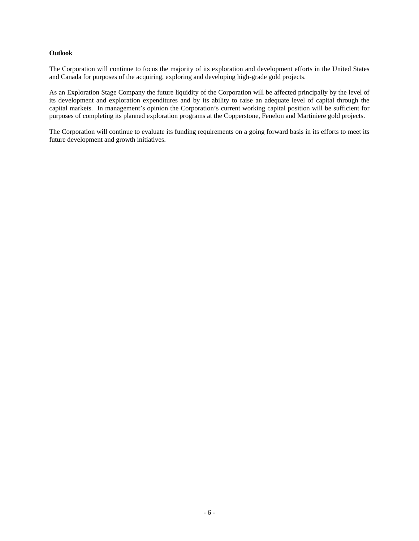## **Outlook**

The Corporation will continue to focus the majority of its exploration and development efforts in the United States and Canada for purposes of the acquiring, exploring and developing high-grade gold projects.

As an Exploration Stage Company the future liquidity of the Corporation will be affected principally by the level of its development and exploration expenditures and by its ability to raise an adequate level of capital through the capital markets. In management's opinion the Corporation's current working capital position will be sufficient for purposes of completing its planned exploration programs at the Copperstone, Fenelon and Martiniere gold projects.

The Corporation will continue to evaluate its funding requirements on a going forward basis in its efforts to meet its future development and growth initiatives.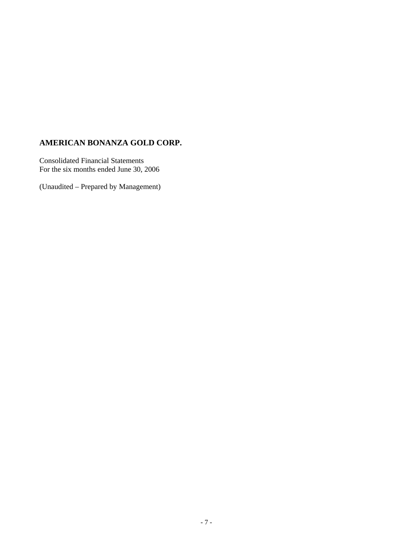# **AMERICAN BONANZA GOLD CORP.**

Consolidated Financial Statements For the six months ended June 30, 2006

(Unaudited – Prepared by Management)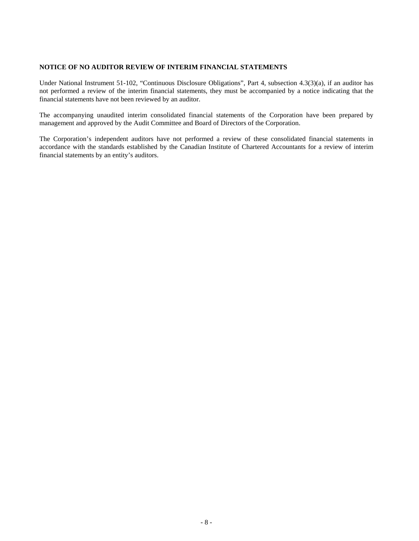# **NOTICE OF NO AUDITOR REVIEW OF INTERIM FINANCIAL STATEMENTS**

Under National Instrument 51-102, "Continuous Disclosure Obligations", Part 4, subsection 4.3(3)(a), if an auditor has not performed a review of the interim financial statements, they must be accompanied by a notice indicating that the financial statements have not been reviewed by an auditor.

The accompanying unaudited interim consolidated financial statements of the Corporation have been prepared by management and approved by the Audit Committee and Board of Directors of the Corporation.

The Corporation's independent auditors have not performed a review of these consolidated financial statements in accordance with the standards established by the Canadian Institute of Chartered Accountants for a review of interim financial statements by an entity's auditors.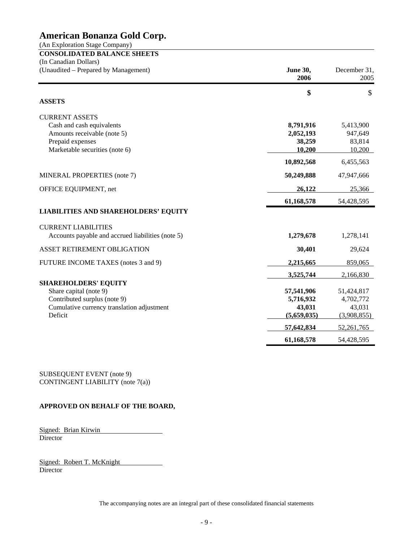(An Exploration Stage Company)

**CONSOLIDATED BALANCE SHEETS** (In Canadian Dollars)

| (Unaudited – Prepared by Management)              | <b>June 30,</b><br>2006 | December 31,<br>2005 |
|---------------------------------------------------|-------------------------|----------------------|
|                                                   | \$                      | \$                   |
| <b>ASSETS</b>                                     |                         |                      |
| <b>CURRENT ASSETS</b>                             |                         |                      |
| Cash and cash equivalents                         | 8,791,916               | 5,413,900            |
| Amounts receivable (note 5)                       | 2,052,193               | 947,649              |
| Prepaid expenses                                  | 38,259                  | 83,814               |
| Marketable securities (note 6)                    | 10,200                  | 10,200               |
|                                                   | 10,892,568              | 6,455,563            |
| MINERAL PROPERTIES (note 7)                       | 50,249,888              | 47,947,666           |
| OFFICE EQUIPMENT, net                             | 26,122                  | 25,366               |
|                                                   | 61,168,578              | 54,428,595           |
| <b>LIABILITIES AND SHAREHOLDERS' EQUITY</b>       |                         |                      |
| <b>CURRENT LIABILITIES</b>                        |                         |                      |
| Accounts payable and accrued liabilities (note 5) | 1,279,678               | 1,278,141            |
| ASSET RETIREMENT OBLIGATION                       | 30,401                  | 29,624               |
| FUTURE INCOME TAXES (notes 3 and 9)               | 2,215,665               | 859,065              |
|                                                   | 3,525,744               | 2,166,830            |
| <b>SHAREHOLDERS' EQUITY</b>                       |                         |                      |
| Share capital (note 9)                            | 57,541,906              | 51,424,817           |
| Contributed surplus (note 9)                      | 5,716,932               | 4,702,772            |
| Cumulative currency translation adjustment        | 43,031                  | 43,031               |
| Deficit                                           | (5,659,035)             | (3,908,855)          |
|                                                   | 57,642,834              | 52,261,765           |
|                                                   | 61,168,578              | 54,428,595           |

SUBSEQUENT EVENT (note 9) CONTINGENT LIABILITY (note 7(a))

# **APPROVED ON BEHALF OF THE BOARD,**

Signed: Brian Kirwin **Director** 

Signed: Robert T. McKnight **Director**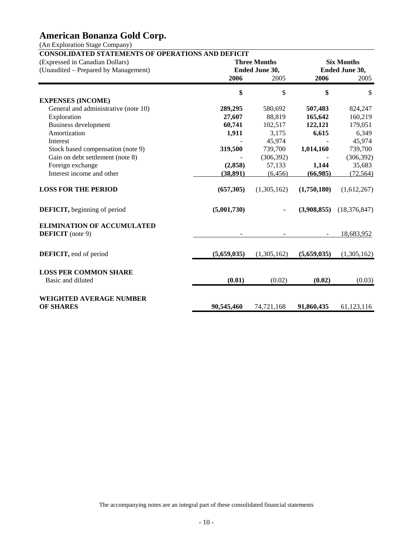(An Exploration Stage Company)

| <b>Six Months</b><br><b>Ended June 30,</b><br>2005<br>$\mathcal{S}$<br>824,247<br>160,219<br>179,051<br>6,349<br>45,974 |
|-------------------------------------------------------------------------------------------------------------------------|
|                                                                                                                         |
|                                                                                                                         |
|                                                                                                                         |
|                                                                                                                         |
|                                                                                                                         |
|                                                                                                                         |
|                                                                                                                         |
|                                                                                                                         |
|                                                                                                                         |
|                                                                                                                         |
| 739,700                                                                                                                 |
| (306, 392)                                                                                                              |
| 35,683                                                                                                                  |
| (72, 564)                                                                                                               |
| (1,612,267)                                                                                                             |
| (18, 376, 847)                                                                                                          |
|                                                                                                                         |
| 18,683,952                                                                                                              |
| (1,305,162)                                                                                                             |
|                                                                                                                         |
|                                                                                                                         |
| (0.03)                                                                                                                  |
|                                                                                                                         |
|                                                                                                                         |
|                                                                                                                         |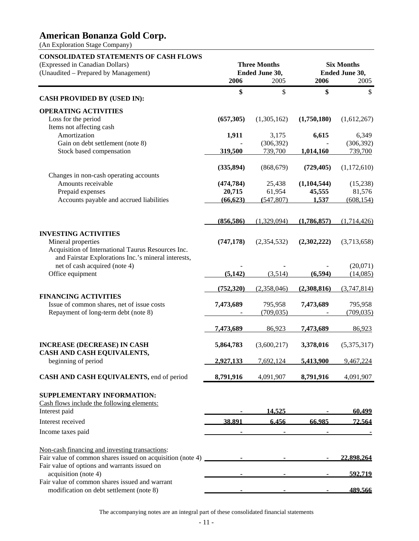(An Exploration Stage Company)

# **CONSOLIDATED STATEMENTS OF CASH FLOWS**  (Expressed in Canadian Dollars) **Three Months Six Months** (Unaudited – Prepared by Management) **Ended June 30, Ended June 30, 2006** 2005 **2006** 2005 **\$** \$ **\$** \$ **CASH PROVIDED BY (USED IN): OPERATING ACTIVITIES**  Loss for the period **(657,305)** (1,305,162) **(1,750,180)** (1,612,267) Items not affecting cash Amortization **1,911** 3,175 **6,615** 6,349 Gain on debt settlement (note 8)  $(306,392)$  (306,392) (306,392) Stock based compensation **319,500** 739,700 **1,014,160** 739,700 **(335,894)** (868,679) **(729,405)** (1,172,610) Changes in non-cash operating accounts Amounts receivable **(474,784)** 25,438 **(1,104,544)** (15,238) Prepaid expenses **20,715** 61,954 **45,555** 81,576 Accounts payable and accrued liabilities **(66,623) (**547,807) **1,537** (608,154)  **(856,586)** (1,329,094) **(1,786,857)** (1,714,426) **INVESTING ACTIVITIES**  Mineral properties **(747,178)** (2,354,532) **(2,302,222)** (3,713,658) Acquisition of International Taurus Resources Inc. and Fairstar Explorations Inc.'s mineral interests, net of cash acquired (note 4) **-** (20,071) **-** (20,071) Office equipment **(5,142)** (3,514) **(6,594)** (14,085)  **(752,320)** (2,358,046) **(2,308,816)** (3,747,814) **FINANCING ACTIVITIES**  Issue of common shares, net of issue costs **7,473,689** 795,958 **7,473,689** 795,958 Repayment of long-term debt (note 8) - (709,035) - (709,035) **7,473,689** 86,923 **7,473,689** 86,923 **INCREASE (DECREASE) IN CASH 5,864,783** (3,600,217) **3,378,016** (5,375,317) **CASH AND CASH EQUIVALENTS,**  beginning of period **2,927,133** 7,692,124 **5,413,900** 9,467,224 **CASH AND CASH EQUIVALENTS,** end of period **8,791,916** 4,091,907 **8,791,916** 4,091,907 **SUPPLEMENTARY INFORMATION:**  Cash flows include the following elements: Interest paid **14,525 - 60,499** - 60,499 - 60,499 - 60,499 - 60,499 - 60,499 - 60,499 - 60,499 - 60,499 - 60,499 - 60,499 - 60,499 - 60,499 - 60,499 - 60,499 - 60,499 - 60,499 - 60,499 - 60,499 - 60,499 - 60,499 - 60,499 -Interest received **38,891 6,456 66,985 72,564** Income taxes paid Non-cash financing and investing transactions: Fair value of common shares issued on acquisition (note 4) **-** - - - - 22,898,264 Fair value of options and warrants issued on acquisition (note 4) **- - - - 592,719** Fair value of common shares issued and warrant modification on debt settlement (note 8) **- - 189,566**

The accompanying notes are an integral part of these consolidated financial statements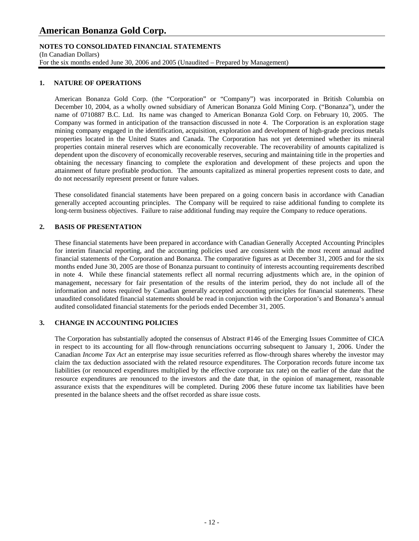# **NOTES TO CONSOLIDATED FINANCIAL STATEMENTS**

(In Canadian Dollars)

For the six months ended June 30, 2006 and 2005 (Unaudited – Prepared by Management)

# **1. NATURE OF OPERATIONS**

American Bonanza Gold Corp. (the "Corporation" or "Company") was incorporated in British Columbia on December 10, 2004, as a wholly owned subsidiary of American Bonanza Gold Mining Corp. ("Bonanza"), under the name of 0710887 B.C. Ltd. Its name was changed to American Bonanza Gold Corp. on February 10, 2005. The Company was formed in anticipation of the transaction discussed in note 4. The Corporation is an exploration stage mining company engaged in the identification, acquisition, exploration and development of high-grade precious metals properties located in the United States and Canada. The Corporation has not yet determined whether its mineral properties contain mineral reserves which are economically recoverable. The recoverability of amounts capitalized is dependent upon the discovery of economically recoverable reserves, securing and maintaining title in the properties and obtaining the necessary financing to complete the exploration and development of these projects and upon the attainment of future profitable production. The amounts capitalized as mineral properties represent costs to date, and do not necessarily represent present or future values.

These consolidated financial statements have been prepared on a going concern basis in accordance with Canadian generally accepted accounting principles. The Company will be required to raise additional funding to complete its long-term business objectives. Failure to raise additional funding may require the Company to reduce operations.

# **2. BASIS OF PRESENTATION**

These financial statements have been prepared in accordance with Canadian Generally Accepted Accounting Principles for interim financial reporting, and the accounting policies used are consistent with the most recent annual audited financial statements of the Corporation and Bonanza. The comparative figures as at December 31, 2005 and for the six months ended June 30, 2005 are those of Bonanza pursuant to continuity of interests accounting requirements described in note 4. While these financial statements reflect all normal recurring adjustments which are, in the opinion of management, necessary for fair presentation of the results of the interim period, they do not include all of the information and notes required by Canadian generally accepted accounting principles for financial statements. These unaudited consolidated financial statements should be read in conjunction with the Corporation's and Bonanza's annual audited consolidated financial statements for the periods ended December 31, 2005.

## **3. CHANGE IN ACCOUNTING POLICIES**

 The Corporation has substantially adopted the consensus of Abstract #146 of the Emerging Issues Committee of CICA in respect to its accounting for all flow-through renunciations occurring subsequent to January 1, 2006. Under the Canadian *Income Tax Act* an enterprise may issue securities referred as flow-through shares whereby the investor may claim the tax deduction associated with the related resource expenditures. The Corporation records future income tax liabilities (or renounced expenditures multiplied by the effective corporate tax rate) on the earlier of the date that the resource expenditures are renounced to the investors and the date that, in the opinion of management, reasonable assurance exists that the expenditures will be completed. During 2006 these future income tax liabilities have been presented in the balance sheets and the offset recorded as share issue costs.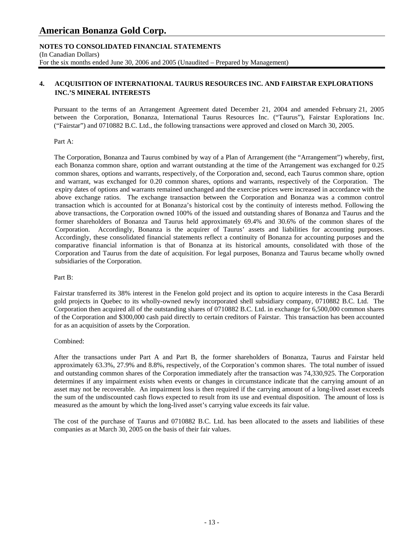## **NOTES TO CONSOLIDATED FINANCIAL STATEMENTS**  (In Canadian Dollars) For the six months ended June 30, 2006 and 2005 (Unaudited – Prepared by Management)

# **4. ACQUISITION OF INTERNATIONAL TAURUS RESOURCES INC. AND FAIRSTAR EXPLORATIONS INC.'S MINERAL INTERESTS**

Pursuant to the terms of an Arrangement Agreement dated December 21, 2004 and amended February 21, 2005 between the Corporation, Bonanza, International Taurus Resources Inc. ("Taurus"), Fairstar Explorations Inc. ("Fairstar") and 0710882 B.C. Ltd., the following transactions were approved and closed on March 30, 2005.

### Part A:

The Corporation, Bonanza and Taurus combined by way of a Plan of Arrangement (the "Arrangement") whereby, first, each Bonanza common share, option and warrant outstanding at the time of the Arrangement was exchanged for 0.25 common shares, options and warrants, respectively, of the Corporation and, second, each Taurus common share, option and warrant, was exchanged for 0.20 common shares, options and warrants, respectively of the Corporation. The expiry dates of options and warrants remained unchanged and the exercise prices were increased in accordance with the above exchange ratios. The exchange transaction between the Corporation and Bonanza was a common control transaction which is accounted for at Bonanza's historical cost by the continuity of interests method. Following the above transactions, the Corporation owned 100% of the issued and outstanding shares of Bonanza and Taurus and the former shareholders of Bonanza and Taurus held approximately 69.4% and 30.6% of the common shares of the Corporation. Accordingly, Bonanza is the acquirer of Taurus' assets and liabilities for accounting purposes. Accordingly, these consolidated financial statements reflect a continuity of Bonanza for accounting purposes and the comparative financial information is that of Bonanza at its historical amounts, consolidated with those of the Corporation and Taurus from the date of acquisition. For legal purposes, Bonanza and Taurus became wholly owned subsidiaries of the Corporation.

## Part B:

Fairstar transferred its 38% interest in the Fenelon gold project and its option to acquire interests in the Casa Berardi gold projects in Quebec to its wholly-owned newly incorporated shell subsidiary company, 0710882 B.C. Ltd. The Corporation then acquired all of the outstanding shares of 0710882 B.C. Ltd. in exchange for 6,500,000 common shares of the Corporation and \$300,000 cash paid directly to certain creditors of Fairstar. This transaction has been accounted for as an acquisition of assets by the Corporation.

## Combined:

After the transactions under Part A and Part B, the former shareholders of Bonanza, Taurus and Fairstar held approximately 63.3%, 27.9% and 8.8%, respectively, of the Corporation's common shares. The total number of issued and outstanding common shares of the Corporation immediately after the transaction was 74,330,925. The Corporation determines if any impairment exists when events or changes in circumstance indicate that the carrying amount of an asset may not be recoverable. An impairment loss is then required if the carrying amount of a long-lived asset exceeds the sum of the undiscounted cash flows expected to result from its use and eventual disposition. The amount of loss is measured as the amount by which the long-lived asset's carrying value exceeds its fair value.

The cost of the purchase of Taurus and 0710882 B.C. Ltd. has been allocated to the assets and liabilities of these companies as at March 30, 2005 on the basis of their fair values.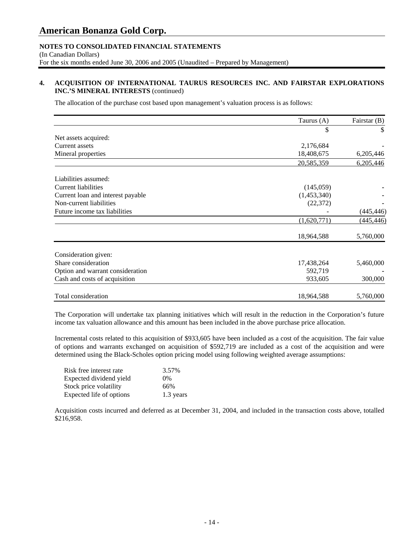# **NOTES TO CONSOLIDATED FINANCIAL STATEMENTS**

(In Canadian Dollars) For the six months ended June 30, 2006 and 2005 (Unaudited – Prepared by Management)

# **4. ACQUISITION OF INTERNATIONAL TAURUS RESOURCES INC. AND FAIRSTAR EXPLORATIONS INC.'S MINERAL INTERESTS** (continued)

The allocation of the purchase cost based upon management's valuation process is as follows:

|                                   | Taurus (A)  | Fairstar (B) |
|-----------------------------------|-------------|--------------|
|                                   | \$          | \$           |
| Net assets acquired:              |             |              |
| Current assets                    | 2,176,684   |              |
| Mineral properties                | 18,408,675  | 6,205,446    |
|                                   | 20,585,359  | 6,205,446    |
| Liabilities assumed:              |             |              |
| Current liabilities               | (145,059)   |              |
| Current loan and interest payable | (1,453,340) |              |
| Non-current liabilities           | (22, 372)   |              |
| Future income tax liabilities     |             | (445, 446)   |
|                                   | (1,620,771) | (445, 446)   |
|                                   | 18,964,588  | 5,760,000    |
| Consideration given:              |             |              |
| Share consideration               | 17,438,264  | 5,460,000    |
| Option and warrant consideration  | 592,719     |              |
| Cash and costs of acquisition     | 933,605     | 300,000      |
| Total consideration               | 18,964,588  | 5,760,000    |

The Corporation will undertake tax planning initiatives which will result in the reduction in the Corporation's future income tax valuation allowance and this amount has been included in the above purchase price allocation.

Incremental costs related to this acquisition of \$933,605 have been included as a cost of the acquisition. The fair value of options and warrants exchanged on acquisition of \$592,719 are included as a cost of the acquisition and were determined using the Black-Scholes option pricing model using following weighted average assumptions:

| Risk free interest rate  | 3.57%     |
|--------------------------|-----------|
| Expected dividend yield  | $0\%$     |
| Stock price volatility   | 66%       |
| Expected life of options | 1.3 years |

Acquisition costs incurred and deferred as at December 31, 2004, and included in the transaction costs above, totalled \$216,958.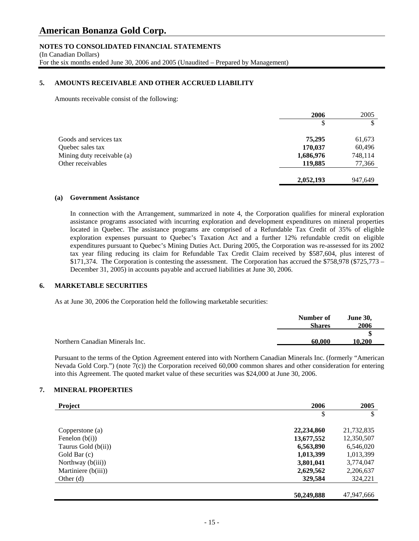# **NOTES TO CONSOLIDATED FINANCIAL STATEMENTS**

(In Canadian Dollars) For the six months ended June 30, 2006 and 2005 (Unaudited – Prepared by Management)

# **5. AMOUNTS RECEIVABLE AND OTHER ACCRUED LIABILITY**

Amounts receivable consist of the following:

|                            | 2006      | 2005    |
|----------------------------|-----------|---------|
|                            | \$        | \$      |
| Goods and services tax     | 75,295    | 61,673  |
| Quebec sales tax           | 170,037   | 60,496  |
| Mining duty receivable (a) | 1,686,976 | 748,114 |
| Other receivables          | 119,885   | 77,366  |
|                            | 2,052,193 | 947,649 |

## **(a) Government Assistance**

In connection with the Arrangement, summarized in note 4, the Corporation qualifies for mineral exploration assistance programs associated with incurring exploration and development expenditures on mineral properties located in Quebec. The assistance programs are comprised of a Refundable Tax Credit of 35% of eligible exploration expenses pursuant to Quebec's Taxation Act and a further 12% refundable credit on eligible expenditures pursuant to Quebec's Mining Duties Act. During 2005, the Corporation was re-assessed for its 2002 tax year filing reducing its claim for Refundable Tax Credit Claim received by \$587,604, plus interest of \$171,374. The Corporation is contesting the assessment. The Corporation has accrued the \$758,978 (\$725,773 – December 31, 2005) in accounts payable and accrued liabilities at June 30, 2006.

#### **6. MARKETABLE SECURITIES**

As at June 30, 2006 the Corporation held the following marketable securities:

|                                 | Number of<br><b>Shares</b> | <b>June 30.</b><br>2006 |
|---------------------------------|----------------------------|-------------------------|
|                                 |                            |                         |
| Northern Canadian Minerals Inc. | 60.000                     | 10.200                  |

Pursuant to the terms of the Option Agreement entered into with Northern Canadian Minerals Inc. (formerly "American Nevada Gold Corp.") (note 7(c)) the Corporation received 60,000 common shares and other consideration for entering into this Agreement. The quoted market value of these securities was \$24,000 at June 30, 2006.

## **7. MINERAL PROPERTIES**

| <b>Project</b>      | 2006       | 2005       |
|---------------------|------------|------------|
|                     | \$         | \$         |
| Copperstone (a)     | 22,234,860 | 21,732,835 |
| Fenelon $(b(i))$    | 13,677,552 | 12,350,507 |
| Taurus Gold (b(ii)) | 6,563,890  | 6,546,020  |
| Gold Bar (c)        | 1,013,399  | 1,013,399  |
| Northway $(b(iii))$ | 3,801,041  | 3,774,047  |
| Martiniere (b(iii)) | 2,629,562  | 2,206,637  |
| Other $(d)$         | 329,584    | 324,221    |
|                     | 50,249,888 | 47.947.666 |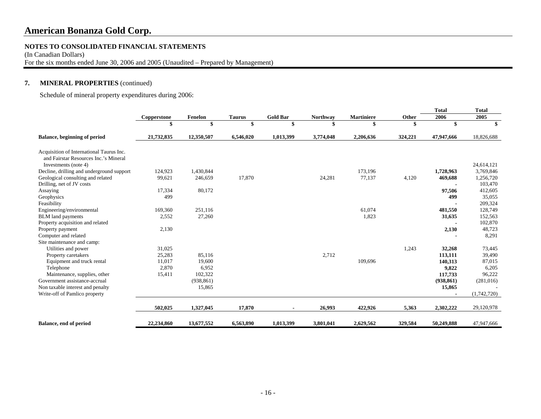#### **NOTES TO CONSOLIDATED FINANCIAL STATEMENTS**

(In Canadian Dollars)

For the six months ended June 30, 2006 and 2005 (Unaudited – Prepared by Management)

# **7. MINERAL PROPERTIES** (continued)

Schedule of mineral property expenditures during 2006:

|                                                                                   |             |            |               |                 |           |                   |         | Total      | Total       |
|-----------------------------------------------------------------------------------|-------------|------------|---------------|-----------------|-----------|-------------------|---------|------------|-------------|
|                                                                                   | Copperstone | Fenelon    | <b>Taurus</b> | <b>Gold Bar</b> | Northway  | <b>Martiniere</b> | Other   | 2006       | 2005        |
|                                                                                   |             |            |               | \$              | \$        |                   |         | \$         |             |
| <b>Balance, beginning of period</b>                                               | 21,732,835  | 12,350,507 | 6,546,020     | 1,013,399       | 3,774,048 | 2,206,636         | 324,221 | 47,947,666 | 18,826,688  |
| Acquisition of International Taurus Inc.<br>and Fairstar Resources Inc.'s Mineral |             |            |               |                 |           |                   |         |            |             |
| Investments (note 4)                                                              |             |            |               |                 |           |                   |         |            | 24,614,121  |
| Decline, drilling and underground support                                         | 124,923     | 1,430,844  |               |                 |           | 173,196           |         | 1,728,963  | 3,769,846   |
| Geological consulting and related                                                 | 99,621      | 246,659    | 17,870        |                 | 24,281    | 77,137            | 4,120   | 469,688    | 1,256,720   |
| Drilling, net of JV costs                                                         |             |            |               |                 |           |                   |         |            | 103,470     |
| Assaying                                                                          | 17,334      | 80,172     |               |                 |           |                   |         | 97,506     | 412,605     |
| Geophysics                                                                        | 499         |            |               |                 |           |                   |         | 499        | 35,055      |
| Feasibility                                                                       |             |            |               |                 |           |                   |         |            | 209,324     |
| Engineering/environmental                                                         | 169,360     | 251,116    |               |                 |           | 61,074            |         | 481,550    | 128,749     |
| <b>BLM</b> land payments                                                          | 2,552       | 27,260     |               |                 |           | 1,823             |         | 31,635     | 152,563     |
| Property acquisition and related                                                  |             |            |               |                 |           |                   |         |            | 102,870     |
| Property payment                                                                  | 2,130       |            |               |                 |           |                   |         | 2,130      | 48,723      |
| Computer and related                                                              |             |            |               |                 |           |                   |         |            | 8,291       |
| Site maintenance and camp:                                                        |             |            |               |                 |           |                   |         |            |             |
| Utilities and power                                                               | 31,025      |            |               |                 |           |                   | 1,243   | 32,268     | 73,445      |
| Property caretakers                                                               | 25,283      | 85,116     |               |                 | 2,712     |                   |         | 113,111    | 39,490      |
| Equipment and truck rental                                                        | 11,017      | 19,600     |               |                 |           | 109,696           |         | 140,313    | 87,015      |
| Telephone                                                                         | 2,870       | 6,952      |               |                 |           |                   |         | 9,822      | 6,205       |
| Maintenance, supplies, other                                                      | 15,411      | 102,322    |               |                 |           |                   |         | 117,733    | 96,222      |
| Government assistance-accrual                                                     |             | (938, 861) |               |                 |           |                   |         | (938, 861) | (281,016)   |
| Non taxable interest and penalty                                                  |             | 15,865     |               |                 |           |                   |         | 15,865     |             |
| Write-off of Pamlico property                                                     |             |            |               |                 |           |                   |         |            | (1,742,720) |
|                                                                                   | 502,025     | 1,327,045  | 17,870        |                 | 26,993    | 422,926           | 5,363   | 2,302,222  | 29,120,978  |
| <b>Balance, end of period</b>                                                     | 22,234,860  | 13,677,552 | 6,563,890     | 1,013,399       | 3,801,041 | 2,629,562         | 329,584 | 50,249,888 | 47,947,666  |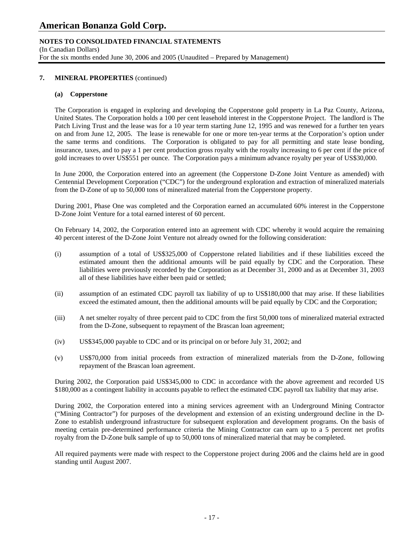# **NOTES TO CONSOLIDATED FINANCIAL STATEMENTS**

(In Canadian Dollars) For the six months ended June 30, 2006 and 2005 (Unaudited – Prepared by Management)

### **7. MINERAL PROPERTIES** (continued)

#### **(a) Copperstone**

The Corporation is engaged in exploring and developing the Copperstone gold property in La Paz County, Arizona, United States. The Corporation holds a 100 per cent leasehold interest in the Copperstone Project. The landlord is The Patch Living Trust and the lease was for a 10 year term starting June 12, 1995 and was renewed for a further ten years on and from June 12, 2005. The lease is renewable for one or more ten-year terms at the Corporation's option under the same terms and conditions. The Corporation is obligated to pay for all permitting and state lease bonding, insurance, taxes, and to pay a 1 per cent production gross royalty with the royalty increasing to 6 per cent if the price of gold increases to over US\$551 per ounce. The Corporation pays a minimum advance royalty per year of US\$30,000.

 In June 2000, the Corporation entered into an agreement (the Copperstone D-Zone Joint Venture as amended) with Centennial Development Corporation ("CDC") for the underground exploration and extraction of mineralized materials from the D-Zone of up to 50,000 tons of mineralized material from the Copperstone property.

 During 2001, Phase One was completed and the Corporation earned an accumulated 60% interest in the Copperstone D-Zone Joint Venture for a total earned interest of 60 percent.

On February 14, 2002, the Corporation entered into an agreement with CDC whereby it would acquire the remaining 40 percent interest of the D-Zone Joint Venture not already owned for the following consideration:

- (i) assumption of a total of US\$325,000 of Copperstone related liabilities and if these liabilities exceed the estimated amount then the additional amounts will be paid equally by CDC and the Corporation. These liabilities were previously recorded by the Corporation as at December 31, 2000 and as at December 31, 2003 all of these liabilities have either been paid or settled;
- (ii) assumption of an estimated CDC payroll tax liability of up to US\$180,000 that may arise. If these liabilities exceed the estimated amount, then the additional amounts will be paid equally by CDC and the Corporation;
- (iii) A net smelter royalty of three percent paid to CDC from the first 50,000 tons of mineralized material extracted from the D-Zone, subsequent to repayment of the Brascan loan agreement;
- (iv) US\$345,000 payable to CDC and or its principal on or before July 31, 2002; and
- (v) US\$70,000 from initial proceeds from extraction of mineralized materials from the D-Zone, following repayment of the Brascan loan agreement.

During 2002, the Corporation paid US\$345,000 to CDC in accordance with the above agreement and recorded US \$180,000 as a contingent liability in accounts payable to reflect the estimated CDC payroll tax liability that may arise.

 During 2002, the Corporation entered into a mining services agreement with an Underground Mining Contractor ("Mining Contractor") for purposes of the development and extension of an existing underground decline in the D-Zone to establish underground infrastructure for subsequent exploration and development programs. On the basis of meeting certain pre-determined performance criteria the Mining Contractor can earn up to a 5 percent net profits royalty from the D-Zone bulk sample of up to 50,000 tons of mineralized material that may be completed.

All required payments were made with respect to the Copperstone project during 2006 and the claims held are in good standing until August 2007.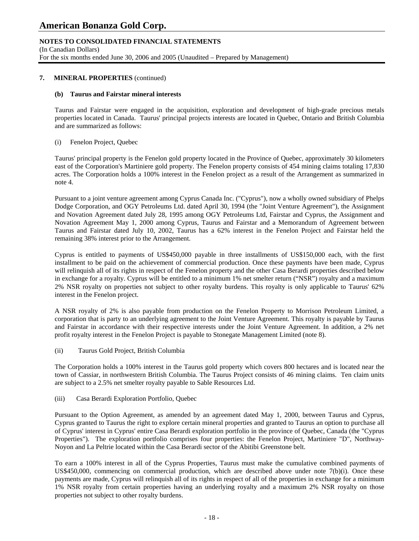# **NOTES TO CONSOLIDATED FINANCIAL STATEMENTS**

(In Canadian Dollars) For the six months ended June 30, 2006 and 2005 (Unaudited – Prepared by Management)

### **7. MINERAL PROPERTIES** (continued)

### **(b) Taurus and Fairstar mineral interests**

Taurus and Fairstar were engaged in the acquisition, exploration and development of high-grade precious metals properties located in Canada. Taurus' principal projects interests are located in Quebec, Ontario and British Columbia and are summarized as follows:

### (i) Fenelon Project, Quebec

Taurus' principal property is the Fenelon gold property located in the Province of Quebec, approximately 30 kilometers east of the Corporation's Martiniere gold property. The Fenelon property consists of 454 mining claims totaling 17,830 acres. The Corporation holds a 100% interest in the Fenelon project as a result of the Arrangement as summarized in note 4.

Pursuant to a joint venture agreement among Cyprus Canada Inc. ("Cyprus"), now a wholly owned subsidiary of Phelps Dodge Corporation, and OGY Petroleums Ltd. dated April 30, 1994 (the "Joint Venture Agreement"), the Assignment and Novation Agreement dated July 28, 1995 among OGY Petroleums Ltd, Fairstar and Cyprus, the Assignment and Novation Agreement May 1, 2000 among Cyprus, Taurus and Fairstar and a Memorandum of Agreement between Taurus and Fairstar dated July 10, 2002, Taurus has a 62% interest in the Fenelon Project and Fairstar held the remaining 38% interest prior to the Arrangement.

Cyprus is entitled to payments of US\$450,000 payable in three installments of US\$150,000 each, with the first installment to be paid on the achievement of commercial production. Once these payments have been made, Cyprus will relinquish all of its rights in respect of the Fenelon property and the other Casa Berardi properties described below in exchange for a royalty. Cyprus will be entitled to a minimum 1% net smelter return ("NSR") royalty and a maximum 2% NSR royalty on properties not subject to other royalty burdens. This royalty is only applicable to Taurus' 62% interest in the Fenelon project.

A NSR royalty of 2% is also payable from production on the Fenelon Property to Morrison Petroleum Limited, a corporation that is party to an underlying agreement to the Joint Venture Agreement. This royalty is payable by Taurus and Fairstar in accordance with their respective interests under the Joint Venture Agreement. In addition, a 2% net profit royalty interest in the Fenelon Project is payable to Stonegate Management Limited (note 8).

(ii) Taurus Gold Project, British Columbia

The Corporation holds a 100% interest in the Taurus gold property which covers 800 hectares and is located near the town of Cassiar, in northwestern British Columbia. The Taurus Project consists of 46 mining claims. Ten claim units are subject to a 2.5% net smelter royalty payable to Sable Resources Ltd.

(iii) Casa Berardi Exploration Portfolio, Quebec

Pursuant to the Option Agreement, as amended by an agreement dated May 1, 2000, between Taurus and Cyprus, Cyprus granted to Taurus the right to explore certain mineral properties and granted to Taurus an option to purchase all of Cyprus' interest in Cyprus' entire Casa Berardi exploration portfolio in the province of Quebec, Canada (the "Cyprus Properties"). The exploration portfolio comprises four properties: the Fenelon Project, Martiniere "D", Northway-Noyon and La Peltrie located within the Casa Berardi sector of the Abitibi Greenstone belt.

To earn a 100% interest in all of the Cyprus Properties, Taurus must make the cumulative combined payments of US\$450,000, commencing on commercial production, which are described above under note 7(b)(i). Once these payments are made, Cyprus will relinquish all of its rights in respect of all of the properties in exchange for a minimum 1% NSR royalty from certain properties having an underlying royalty and a maximum 2% NSR royalty on those properties not subject to other royalty burdens.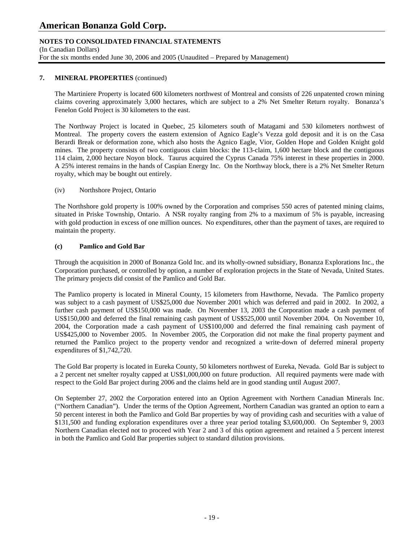# **NOTES TO CONSOLIDATED FINANCIAL STATEMENTS**

(In Canadian Dollars) For the six months ended June 30, 2006 and 2005 (Unaudited – Prepared by Management)

## **7. MINERAL PROPERTIES** (continued)

The Martiniere Property is located 600 kilometers northwest of Montreal and consists of 226 unpatented crown mining claims covering approximately 3,000 hectares, which are subject to a 2% Net Smelter Return royalty. Bonanza's Fenelon Gold Project is 30 kilometers to the east.

The Northway Project is located in Quebec, 25 kilometers south of Matagami and 530 kilometers northwest of Montreal. The property covers the eastern extension of Agnico Eagle's Vezza gold deposit and it is on the Casa Berardi Break or deformation zone, which also hosts the Agnico Eagle, Vior, Golden Hope and Golden Knight gold mines. The property consists of two contiguous claim blocks: the 113-claim, 1,600 hectare block and the contiguous 114 claim, 2,000 hectare Noyon block. Taurus acquired the Cyprus Canada 75% interest in these properties in 2000. A 25% interest remains in the hands of Caspian Energy Inc. On the Northway block, there is a 2% Net Smelter Return royalty, which may be bought out entirely.

### (iv) Northshore Project, Ontario

The Northshore gold property is 100% owned by the Corporation and comprises 550 acres of patented mining claims, situated in Priske Township, Ontario. A NSR royalty ranging from 2% to a maximum of 5% is payable, increasing with gold production in excess of one million ounces. No expenditures, other than the payment of taxes, are required to maintain the property.

### **(c) Pamlico and Gold Bar**

 Through the acquisition in 2000 of Bonanza Gold Inc. and its wholly-owned subsidiary, Bonanza Explorations Inc., the Corporation purchased, or controlled by option, a number of exploration projects in the State of Nevada, United States. The primary projects did consist of the Pamlico and Gold Bar.

 The Pamlico property is located in Mineral County, 15 kilometers from Hawthorne, Nevada. The Pamlico property was subject to a cash payment of US\$25,000 due November 2001 which was deferred and paid in 2002. In 2002, a further cash payment of US\$150,000 was made. On November 13, 2003 the Corporation made a cash payment of US\$150,000 and deferred the final remaining cash payment of US\$525,000 until November 2004. On November 10, 2004, the Corporation made a cash payment of US\$100,000 and deferred the final remaining cash payment of US\$425,000 to November 2005. In November 2005, the Corporation did not make the final property payment and returned the Pamlico project to the property vendor and recognized a write-down of deferred mineral property expenditures of \$1,742,720.

 The Gold Bar property is located in Eureka County, 50 kilometers northwest of Eureka, Nevada. Gold Bar is subject to a 2 percent net smelter royalty capped at US\$1,000,000 on future production. All required payments were made with respect to the Gold Bar project during 2006 and the claims held are in good standing until August 2007.

On September 27, 2002 the Corporation entered into an Option Agreement with Northern Canadian Minerals Inc. ("Northern Canadian"). Under the terms of the Option Agreement, Northern Canadian was granted an option to earn a 50 percent interest in both the Pamlico and Gold Bar properties by way of providing cash and securities with a value of \$131,500 and funding exploration expenditures over a three year period totaling \$3,600,000. On September 9, 2003 Northern Canadian elected not to proceed with Year 2 and 3 of this option agreement and retained a 5 percent interest in both the Pamlico and Gold Bar properties subject to standard dilution provisions.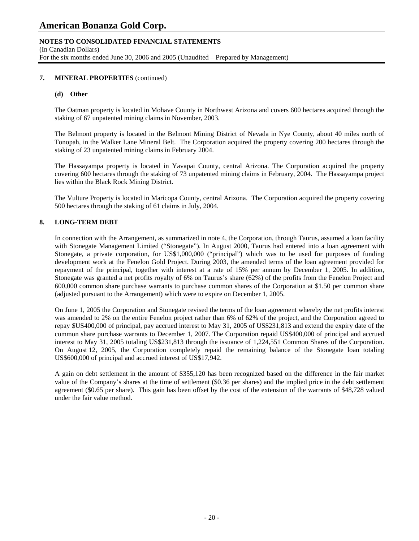# **NOTES TO CONSOLIDATED FINANCIAL STATEMENTS**

(In Canadian Dollars) For the six months ended June 30, 2006 and 2005 (Unaudited – Prepared by Management)

## **7. MINERAL PROPERTIES** (continued)

#### **(d) Other**

 The Oatman property is located in Mohave County in Northwest Arizona and covers 600 hectares acquired through the staking of 67 unpatented mining claims in November, 2003.

The Belmont property is located in the Belmont Mining District of Nevada in Nye County, about 40 miles north of Tonopah, in the Walker Lane Mineral Belt. The Corporation acquired the property covering 200 hectares through the staking of 23 unpatented mining claims in February 2004.

The Hassayampa property is located in Yavapai County, central Arizona. The Corporation acquired the property covering 600 hectares through the staking of 73 unpatented mining claims in February, 2004. The Hassayampa project lies within the Black Rock Mining District.

The Vulture Property is located in Maricopa County, central Arizona. The Corporation acquired the property covering 500 hectares through the staking of 61 claims in July, 2004.

# **8. LONG-TERM DEBT**

 In connection with the Arrangement, as summarized in note 4, the Corporation, through Taurus, assumed a loan facility with Stonegate Management Limited ("Stonegate"). In August 2000, Taurus had entered into a loan agreement with Stonegate, a private corporation, for US\$1,000,000 ("principal") which was to be used for purposes of funding development work at the Fenelon Gold Project. During 2003, the amended terms of the loan agreement provided for repayment of the principal, together with interest at a rate of 15% per annum by December 1, 2005. In addition, Stonegate was granted a net profits royalty of 6% on Taurus's share (62%) of the profits from the Fenelon Project and 600,000 common share purchase warrants to purchase common shares of the Corporation at \$1.50 per common share (adjusted pursuant to the Arrangement) which were to expire on December 1, 2005.

On June 1, 2005 the Corporation and Stonegate revised the terms of the loan agreement whereby the net profits interest was amended to 2% on the entire Fenelon project rather than 6% of 62% of the project, and the Corporation agreed to repay \$US400,000 of principal, pay accrued interest to May 31, 2005 of US\$231,813 and extend the expiry date of the common share purchase warrants to December 1, 2007. The Corporation repaid US\$400,000 of principal and accrued interest to May 31, 2005 totaling US\$231,813 through the issuance of 1,224,551 Common Shares of the Corporation. On August 12, 2005, the Corporation completely repaid the remaining balance of the Stonegate loan totaling US\$600,000 of principal and accrued interest of US\$17,942.

A gain on debt settlement in the amount of \$355,120 has been recognized based on the difference in the fair market value of the Company's shares at the time of settlement (\$0.36 per shares) and the implied price in the debt settlement agreement (\$0.65 per share). This gain has been offset by the cost of the extension of the warrants of \$48,728 valued under the fair value method.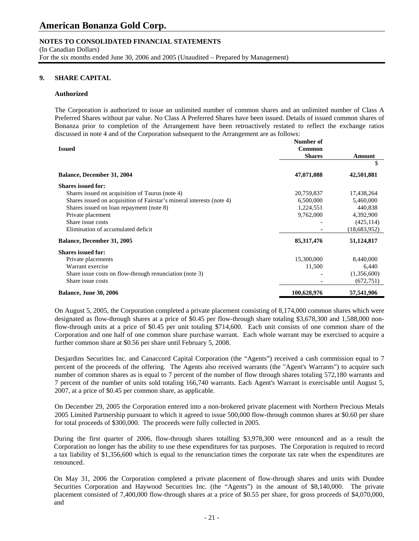# **NOTES TO CONSOLIDATED FINANCIAL STATEMENTS**

(In Canadian Dollars)

For the six months ended June 30, 2006 and 2005 (Unaudited – Prepared by Management)

## **9. SHARE CAPITAL**

#### **Authorized**

The Corporation is authorized to issue an unlimited number of common shares and an unlimited number of Class A Preferred Shares without par value. No Class A Preferred Shares have been issued. Details of issued common shares of Bonanza prior to completion of the Arrangement have been retroactively restated to reflect the exchange ratios discussed in note 4 and of the Corporation subsequent to the Arrangement are as follows:

|                                                                       | Number of     |              |  |
|-----------------------------------------------------------------------|---------------|--------------|--|
| <b>Issued</b>                                                         | Common        |              |  |
|                                                                       | <b>Shares</b> | Amount       |  |
|                                                                       |               | S            |  |
| <b>Balance, December 31, 2004</b>                                     | 47,071,088    | 42,501,881   |  |
| <b>Shares issued for:</b>                                             |               |              |  |
| Shares issued on acquisition of Taurus (note 4)                       | 20,759,837    | 17,438,264   |  |
| Shares issued on acquisition of Fairstar's mineral interests (note 4) | 6,500,000     | 5,460,000    |  |
| Shares issued on loan repayment (note 8)                              | 1,224,551     | 440,838      |  |
| Private placement                                                     | 9,762,000     | 4,392,900    |  |
| Share issue costs                                                     |               | (425, 114)   |  |
| Elimination of accumulated deficit                                    |               | (18,683,952) |  |
| <b>Balance, December 31, 2005</b>                                     | 85, 317, 476  | 51,124,817   |  |
| <b>Shares issued for:</b>                                             |               |              |  |
| Private placements                                                    | 15,300,000    | 8,440,000    |  |
| Warrant exercise                                                      | 11,500        | 6,440        |  |
| Share issue costs on flow-through renunciation (note 3)               |               | (1,356,600)  |  |
| Share issue costs                                                     |               | (672, 751)   |  |
| <b>Balance, June 30, 2006</b>                                         | 100,628,976   | 57,541,906   |  |

On August 5, 2005, the Corporation completed a private placement consisting of 8,174,000 common shares which were designated as flow-through shares at a price of \$0.45 per flow-through share totaling \$3,678,300 and 1,588,000 nonflow-through units at a price of \$0.45 per unit totaling \$714,600. Each unit consists of one common share of the Corporation and one half of one common share purchase warrant. Each whole warrant may be exercised to acquire a further common share at \$0.56 per share until February 5, 2008.

Desjardins Securities Inc. and Canaccord Capital Corporation (the "Agents") received a cash commission equal to 7 percent of the proceeds of the offering. The Agents also received warrants (the "Agent's Warrants") to acquire such number of common shares as is equal to 7 percent of the number of flow through shares totaling 572,180 warrants and 7 percent of the number of units sold totaling 166,740 warrants. Each Agent's Warrant is exercisable until August 5, 2007, at a price of \$0.45 per common share, as applicable.

On December 29, 2005 the Corporation entered into a non-brokered private placement with Northern Precious Metals 2005 Limited Partnership pursuant to which it agreed to issue 500,000 flow-through common shares at \$0.60 per share for total proceeds of \$300,000. The proceeds were fully collected in 2005.

During the first quarter of 2006, flow-through shares totalling \$3,978,300 were renounced and as a result the Corporation no longer has the ability to use these expenditures for tax purposes. The Corporation is required to record a tax liability of \$1,356,600 which is equal to the renunciation times the corporate tax rate when the expenditures are renounced.

On May 31, 2006 the Corporation completed a private placement of flow-through shares and units with Dundee Securities Corporation and Haywood Securities Inc. (the "Agents") in the amount of \$8,140,000. The private placement consisted of 7,400,000 flow-through shares at a price of \$0.55 per share, for gross proceeds of \$4,070,000, and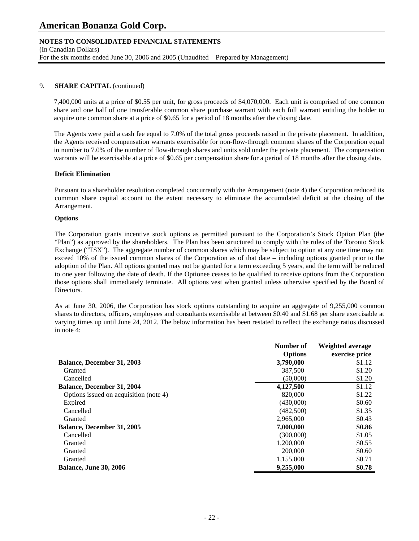# **NOTES TO CONSOLIDATED FINANCIAL STATEMENTS**

(In Canadian Dollars) For the six months ended June 30, 2006 and 2005 (Unaudited – Prepared by Management)

## 9. **SHARE CAPITAL** (continued)

7,400,000 units at a price of \$0.55 per unit, for gross proceeds of \$4,070,000. Each unit is comprised of one common share and one half of one transferable common share purchase warrant with each full warrant entitling the holder to acquire one common share at a price of \$0.65 for a period of 18 months after the closing date.

The Agents were paid a cash fee equal to 7.0% of the total gross proceeds raised in the private placement. In addition, the Agents received compensation warrants exercisable for non-flow-through common shares of the Corporation equal in number to 7.0% of the number of flow-through shares and units sold under the private placement. The compensation warrants will be exercisable at a price of \$0.65 per compensation share for a period of 18 months after the closing date.

### **Deficit Elimination**

Pursuant to a shareholder resolution completed concurrently with the Arrangement (note 4) the Corporation reduced its common share capital account to the extent necessary to eliminate the accumulated deficit at the closing of the Arrangement.

### **Options**

 The Corporation grants incentive stock options as permitted pursuant to the Corporation's Stock Option Plan (the "Plan") as approved by the shareholders. The Plan has been structured to comply with the rules of the Toronto Stock Exchange ("TSX"). The aggregate number of common shares which may be subject to option at any one time may not exceed 10% of the issued common shares of the Corporation as of that date – including options granted prior to the adoption of the Plan. All options granted may not be granted for a term exceeding 5 years, and the term will be reduced to one year following the date of death. If the Optionee ceases to be qualified to receive options from the Corporation those options shall immediately terminate. All options vest when granted unless otherwise specified by the Board of Directors.

 As at June 30, 2006, the Corporation has stock options outstanding to acquire an aggregate of 9,255,000 common shares to directors, officers, employees and consultants exercisable at between \$0.40 and \$1.68 per share exercisable at varying times up until June 24, 2012. The below information has been restated to reflect the exchange ratios discussed in note 4:

|                                        | Number of      | Weighted average |
|----------------------------------------|----------------|------------------|
|                                        | <b>Options</b> | exercise price   |
| <b>Balance, December 31, 2003</b>      | 3,790,000      | \$1.12           |
| Granted                                | 387,500        | \$1.20           |
| Cancelled                              | (50,000)       | \$1.20           |
| <b>Balance, December 31, 2004</b>      | 4,127,500      | \$1.12           |
| Options issued on acquisition (note 4) | 820,000        | \$1.22           |
| Expired                                | (430,000)      | \$0.60           |
| Cancelled                              | (482,500)      | \$1.35           |
| Granted                                | 2.965,000      | \$0.43           |
| <b>Balance, December 31, 2005</b>      | 7,000,000      | \$0.86           |
| Cancelled                              | (300,000)      | \$1.05           |
| Granted                                | 1,200,000      | \$0.55           |
| Granted                                | 200,000        | \$0.60           |
| Granted                                | 1,155,000      | \$0.71           |
| <b>Balance, June 30, 2006</b>          | 9,255,000      | \$0.78           |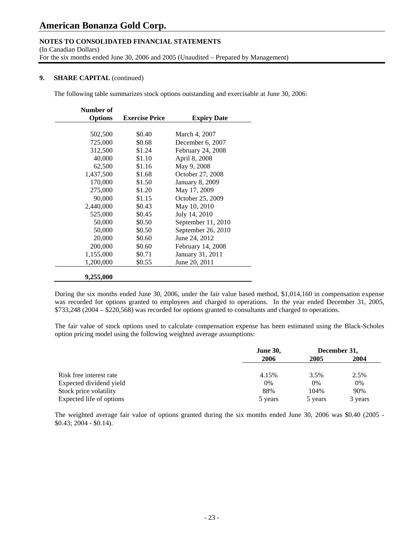# **NOTES TO CONSOLIDATED FINANCIAL STATEMENTS**

(In Canadian Dollars)

For the six months ended June 30, 2006 and 2005 (Unaudited – Prepared by Management)

## **9.** SHARE CAPITAL (continued)

The following table summarizes stock options outstanding and exercisable at June 30, 2006:

| Number of      |                       |                        |
|----------------|-----------------------|------------------------|
| <b>Options</b> | <b>Exercise Price</b> | <b>Expiry Date</b>     |
|                |                       |                        |
| 502,500        | \$0.40                | March 4, 2007          |
| 725,000        | \$0.68                | December 6, 2007       |
| 312,500        | \$1.24                | February 24, 2008      |
| 40,000         | \$1.10                | April 8, 2008          |
| 62,500         | \$1.16                | May 9, 2008            |
| 1,437,500      | \$1.68                | October 27, 2008       |
| 170,000        | \$1.50                | <b>January 8, 2009</b> |
| 275,000        | \$1.20                | May 17, 2009           |
| 90,000         | \$1.15                | October 25, 2009       |
| 2,440,000      | \$0.43                | May 10, 2010           |
| 525,000        | \$0.45                | July 14, 2010          |
| 50,000         | \$0.50                | September 11, 2010     |
| 50,000         | \$0.50                | September 26, 2010     |
| 20,000         | \$0.60                | June 24, 2012          |
| 200,000        | \$0.60                | February 14, 2008      |
| 1,155,000      | \$0.71                | January 31, 2011       |
| 1,200,000      | \$0.55                | June 20, 2011          |
|                |                       |                        |
| 9,255,000      |                       |                        |

 During the six months ended June 30, 2006, under the fair value based method, \$1,014,160 in compensation expense was recorded for options granted to employees and charged to operations. In the year ended December 31, 2005, \$733,248 (2004 – \$220,568) was recorded for options granted to consultants and charged to operations.

 The fair value of stock options used to calculate compensation expense has been estimated using the Black-Scholes option pricing model using the following weighted average assumptions:

|                          | <b>June 30,</b><br>2006 | December 31, |         |
|--------------------------|-------------------------|--------------|---------|
|                          |                         | 2005         | 2004    |
|                          |                         |              |         |
| Risk free interest rate  | 4.15%                   | 3.5%         | 2.5%    |
| Expected dividend yield  | $0\%$                   | 0%           | 0%      |
| Stock price volatility   | 88%                     | 104%         | 90%     |
| Expected life of options | 5 years                 | 5 years      | 3 years |

 The weighted average fair value of options granted during the six months ended June 30, 2006 was \$0.40 (2005 - \$0.43; 2004 - \$0.14).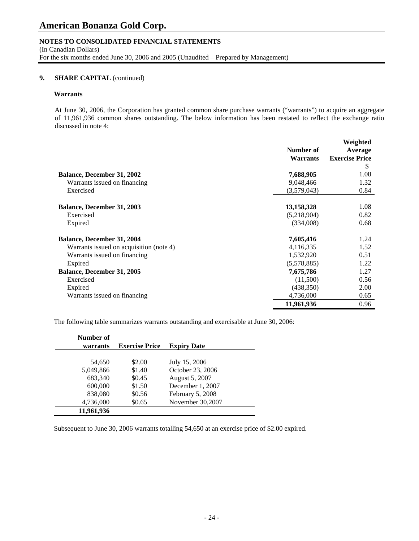# **NOTES TO CONSOLIDATED FINANCIAL STATEMENTS**

(In Canadian Dollars) For the six months ended June 30, 2006 and 2005 (Unaudited – Prepared by Management)

# **9.** SHARE CAPITAL (continued)

#### **Warrants**

 At June 30, 2006, the Corporation has granted common share purchase warrants ("warrants") to acquire an aggregate of 11,961,936 common shares outstanding. The below information has been restated to reflect the exchange ratio discussed in note 4:

|                                         |                 | Weighted              |
|-----------------------------------------|-----------------|-----------------------|
|                                         | Number of       | Average               |
|                                         | <b>Warrants</b> | <b>Exercise Price</b> |
|                                         |                 | \$                    |
| <b>Balance, December 31, 2002</b>       | 7,688,905       | 1.08                  |
| Warrants issued on financing            | 9,048,466       | 1.32                  |
| Exercised                               | (3,579,043)     | 0.84                  |
| <b>Balance, December 31, 2003</b>       | 13,158,328      | 1.08                  |
| Exercised                               | (5,218,904)     | 0.82                  |
| Expired                                 | (334,008)       | 0.68                  |
| <b>Balance, December 31, 2004</b>       | 7,605,416       | 1.24                  |
| Warrants issued on acquisition (note 4) | 4,116,335       | 1.52                  |
| Warrants issued on financing            | 1,532,920       | 0.51                  |
| Expired                                 | (5,578,885)     | 1.22                  |
| <b>Balance, December 31, 2005</b>       | 7,675,786       | 1.27                  |
| Exercised                               | (11,500)        | 0.56                  |
| Expired                                 | (438, 350)      | 2.00                  |
| Warrants issued on financing            | 4,736,000       | 0.65                  |
|                                         | 11,961,936      | 0.96                  |

The following table summarizes warrants outstanding and exercisable at June 30, 2006:

| Number of<br>warrants | <b>Exercise Price</b> | <b>Expiry Date</b> |
|-----------------------|-----------------------|--------------------|
|                       |                       |                    |
| 54,650                | \$2.00                | July 15, 2006      |
| 5,049,866             | \$1.40                | October 23, 2006   |
| 683,340               | \$0.45                | August 5, 2007     |
| 600,000               | \$1.50                | December 1, 2007   |
| 838,080               | \$0.56                | February 5, 2008   |
| 4,736,000             | \$0.65                | November 30,2007   |
| 11,961,936            |                       |                    |

Subsequent to June 30, 2006 warrants totalling 54,650 at an exercise price of \$2.00 expired.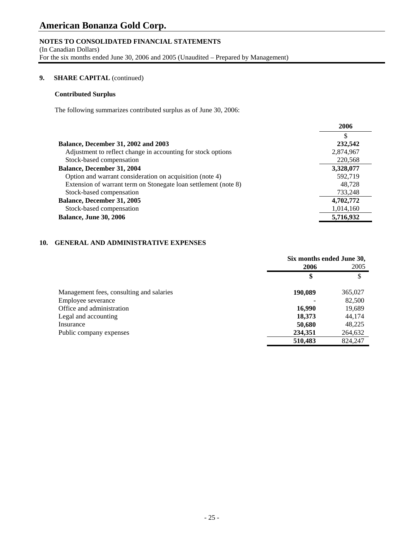# **NOTES TO CONSOLIDATED FINANCIAL STATEMENTS**

(In Canadian Dollars)

For the six months ended June 30, 2006 and 2005 (Unaudited – Prepared by Management)

## **9.** SHARE CAPITAL (continued)

# **Contributed Surplus**

The following summarizes contributed surplus as of June 30, 2006:

|                                                                 | 2006      |
|-----------------------------------------------------------------|-----------|
|                                                                 |           |
| <b>Balance, December 31, 2002 and 2003</b>                      | 232,542   |
| Adjustment to reflect change in accounting for stock options    | 2,874,967 |
| Stock-based compensation                                        | 220,568   |
| <b>Balance, December 31, 2004</b>                               | 3,328,077 |
| Option and warrant consideration on acquisition (note 4)        | 592,719   |
| Extension of warrant term on Stonegate loan settlement (note 8) | 48.728    |
| Stock-based compensation                                        | 733,248   |
| Balance, December 31, 2005                                      | 4,702,772 |
| Stock-based compensation                                        | 1,014,160 |
| <b>Balance, June 30, 2006</b>                                   | 5,716,932 |

# **10. GENERAL AND ADMINISTRATIVE EXPENSES**

|                                          | Six months ended June 30, |         |
|------------------------------------------|---------------------------|---------|
|                                          | 2006                      | 2005    |
|                                          | \$                        | \$      |
| Management fees, consulting and salaries | 190,089                   | 365,027 |
| Employee severance                       |                           | 82,500  |
| Office and administration                | 16,990                    | 19,689  |
| Legal and accounting                     | 18,373                    | 44,174  |
| Insurance                                | 50,680                    | 48,225  |
| Public company expenses                  | 234,351                   | 264,632 |
|                                          | 510,483                   | 824,247 |